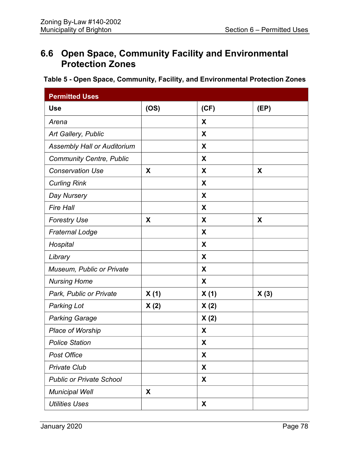# **6.6 Open Space, Community Facility and Environmental Protection Zones**

### **Table 5 - Open Space, Community, Facility, and Environmental Protection Zones**

| <b>Permitted Uses</b>              |      |      |      |
|------------------------------------|------|------|------|
| <b>Use</b>                         | (OS) | (CF) | (EP) |
| Arena                              |      | X    |      |
| Art Gallery, Public                |      | X    |      |
| <b>Assembly Hall or Auditorium</b> |      | X    |      |
| <b>Community Centre, Public</b>    |      | X    |      |
| <b>Conservation Use</b>            | X    | X    | X    |
| <b>Curling Rink</b>                |      | X    |      |
| Day Nursery                        |      | X    |      |
| <b>Fire Hall</b>                   |      | X    |      |
| <b>Forestry Use</b>                | X    | X    | X    |
| <b>Fraternal Lodge</b>             |      | X    |      |
| Hospital                           |      | X    |      |
| Library                            |      | X    |      |
| <b>Museum, Public or Private</b>   |      | X    |      |
| <b>Nursing Home</b>                |      | X    |      |
| Park, Public or Private            | X(1) | X(1) | X(3) |
| <b>Parking Lot</b>                 | X(2) | X(2) |      |
| <b>Parking Garage</b>              |      | X(2) |      |
| Place of Worship                   |      | X    |      |
| <b>Police Station</b>              |      | X    |      |
| <b>Post Office</b>                 |      | X    |      |
| <b>Private Club</b>                |      | X    |      |
| <b>Public or Private School</b>    |      | X    |      |
| <b>Municipal Well</b>              | X    |      |      |
| <b>Utilities Uses</b>              |      | X    |      |